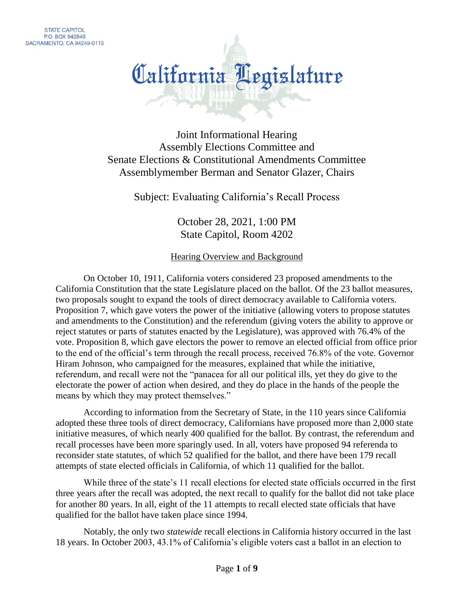

Joint Informational Hearing Assembly Elections Committee and Senate Elections & Constitutional Amendments Committee Assemblymember Berman and Senator Glazer, Chairs

Subject: Evaluating California's Recall Process

October 28, 2021, 1:00 PM State Capitol, Room 4202

Hearing Overview and Background

On October 10, 1911, California voters considered 23 proposed amendments to the California Constitution that the state Legislature placed on the ballot. Of the 23 ballot measures, two proposals sought to expand the tools of direct democracy available to California voters. Proposition 7, which gave voters the power of the initiative (allowing voters to propose statutes and amendments to the Constitution) and the referendum (giving voters the ability to approve or reject statutes or parts of statutes enacted by the Legislature), was approved with 76.4% of the vote. Proposition 8, which gave electors the power to remove an elected official from office prior to the end of the official's term through the recall process, received 76.8% of the vote. Governor Hiram Johnson, who campaigned for the measures, explained that while the initiative, referendum, and recall were not the "panacea for all our political ills, yet they do give to the electorate the power of action when desired, and they do place in the hands of the people the means by which they may protect themselves."

According to information from the Secretary of State, in the 110 years since California adopted these three tools of direct democracy, Californians have proposed more than 2,000 state initiative measures, of which nearly 400 qualified for the ballot. By contrast, the referendum and recall processes have been more sparingly used. In all, voters have proposed 94 referenda to reconsider state statutes, of which 52 qualified for the ballot, and there have been 179 recall attempts of state elected officials in California, of which 11 qualified for the ballot.

While three of the state's 11 recall elections for elected state officials occurred in the first three years after the recall was adopted, the next recall to qualify for the ballot did not take place for another 80 years. In all, eight of the 11 attempts to recall elected state officials that have qualified for the ballot have taken place since 1994.

Notably, the only two *statewide* recall elections in California history occurred in the last 18 years. In October 2003, 43.1% of California's eligible voters cast a ballot in an election to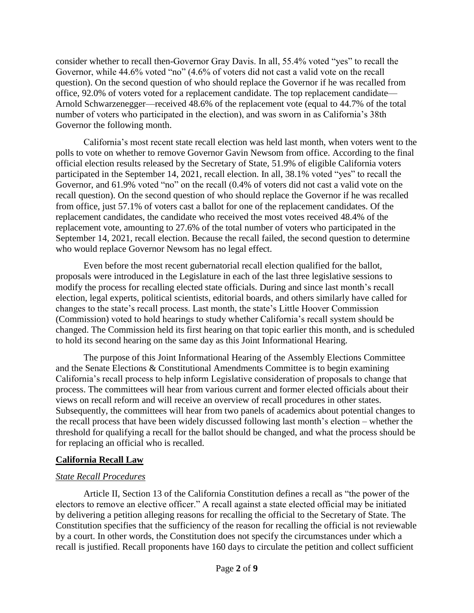consider whether to recall then-Governor Gray Davis. In all, 55.4% voted "yes" to recall the Governor, while 44.6% voted "no" (4.6% of voters did not cast a valid vote on the recall question). On the second question of who should replace the Governor if he was recalled from office, 92.0% of voters voted for a replacement candidate. The top replacement candidate— Arnold Schwarzenegger—received 48.6% of the replacement vote (equal to 44.7% of the total number of voters who participated in the election), and was sworn in as California's 38th Governor the following month.

California's most recent state recall election was held last month, when voters went to the polls to vote on whether to remove Governor Gavin Newsom from office. According to the final official election results released by the Secretary of State, 51.9% of eligible California voters participated in the September 14, 2021, recall election. In all, 38.1% voted "yes" to recall the Governor, and 61.9% voted "no" on the recall (0.4% of voters did not cast a valid vote on the recall question). On the second question of who should replace the Governor if he was recalled from office, just 57.1% of voters cast a ballot for one of the replacement candidates. Of the replacement candidates, the candidate who received the most votes received 48.4% of the replacement vote, amounting to 27.6% of the total number of voters who participated in the September 14, 2021, recall election. Because the recall failed, the second question to determine who would replace Governor Newsom has no legal effect.

Even before the most recent gubernatorial recall election qualified for the ballot, proposals were introduced in the Legislature in each of the last three legislative sessions to modify the process for recalling elected state officials. During and since last month's recall election, legal experts, political scientists, editorial boards, and others similarly have called for changes to the state's recall process. Last month, the state's Little Hoover Commission (Commission) voted to hold hearings to study whether California's recall system should be changed. The Commission held its first hearing on that topic earlier this month, and is scheduled to hold its second hearing on the same day as this Joint Informational Hearing.

The purpose of this Joint Informational Hearing of the Assembly Elections Committee and the Senate Elections & Constitutional Amendments Committee is to begin examining California's recall process to help inform Legislative consideration of proposals to change that process. The committees will hear from various current and former elected officials about their views on recall reform and will receive an overview of recall procedures in other states. Subsequently, the committees will hear from two panels of academics about potential changes to the recall process that have been widely discussed following last month's election – whether the threshold for qualifying a recall for the ballot should be changed, and what the process should be for replacing an official who is recalled.

#### **California Recall Law**

#### *State Recall Procedures*

Article II, Section 13 of the California Constitution defines a recall as "the power of the electors to remove an elective officer." A recall against a state elected official may be initiated by delivering a petition alleging reasons for recalling the official to the Secretary of State. The Constitution specifies that the sufficiency of the reason for recalling the official is not reviewable by a court. In other words, the Constitution does not specify the circumstances under which a recall is justified. Recall proponents have 160 days to circulate the petition and collect sufficient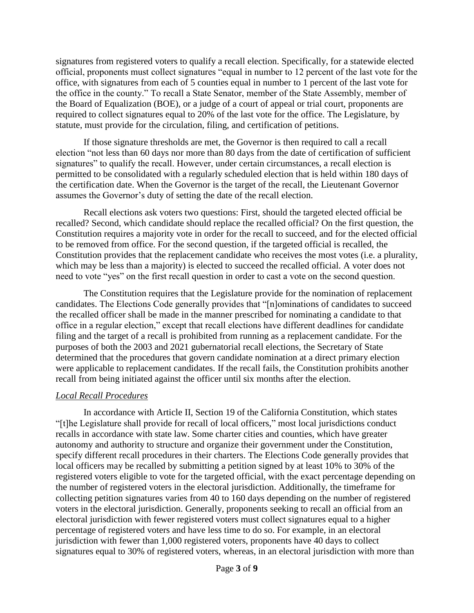signatures from registered voters to qualify a recall election. Specifically, for a statewide elected official, proponents must collect signatures "equal in number to 12 percent of the last vote for the office, with signatures from each of 5 counties equal in number to 1 percent of the last vote for the office in the county." To recall a State Senator, member of the State Assembly, member of the Board of Equalization (BOE), or a judge of a court of appeal or trial court, proponents are required to collect signatures equal to 20% of the last vote for the office. The Legislature, by statute, must provide for the circulation, filing, and certification of petitions.

If those signature thresholds are met, the Governor is then required to call a recall election "not less than 60 days nor more than 80 days from the date of certification of sufficient signatures" to qualify the recall. However, under certain circumstances, a recall election is permitted to be consolidated with a regularly scheduled election that is held within 180 days of the certification date. When the Governor is the target of the recall, the Lieutenant Governor assumes the Governor's duty of setting the date of the recall election.

Recall elections ask voters two questions: First, should the targeted elected official be recalled? Second, which candidate should replace the recalled official? On the first question, the Constitution requires a majority vote in order for the recall to succeed, and for the elected official to be removed from office. For the second question, if the targeted official is recalled, the Constitution provides that the replacement candidate who receives the most votes (i.e. a plurality, which may be less than a majority) is elected to succeed the recalled official. A voter does not need to vote "yes" on the first recall question in order to cast a vote on the second question.

The Constitution requires that the Legislature provide for the nomination of replacement candidates. The Elections Code generally provides that "[n]ominations of candidates to succeed the recalled officer shall be made in the manner prescribed for nominating a candidate to that office in a regular election," except that recall elections have different deadlines for candidate filing and the target of a recall is prohibited from running as a replacement candidate. For the purposes of both the 2003 and 2021 gubernatorial recall elections, the Secretary of State determined that the procedures that govern candidate nomination at a direct primary election were applicable to replacement candidates. If the recall fails, the Constitution prohibits another recall from being initiated against the officer until six months after the election.

#### *Local Recall Procedures*

In accordance with Article II, Section 19 of the California Constitution, which states "[t]he Legislature shall provide for recall of local officers," most local jurisdictions conduct recalls in accordance with state law. Some charter cities and counties, which have greater autonomy and authority to structure and organize their government under the Constitution, specify different recall procedures in their charters. The Elections Code generally provides that local officers may be recalled by submitting a petition signed by at least 10% to 30% of the registered voters eligible to vote for the targeted official, with the exact percentage depending on the number of registered voters in the electoral jurisdiction. Additionally, the timeframe for collecting petition signatures varies from 40 to 160 days depending on the number of registered voters in the electoral jurisdiction. Generally, proponents seeking to recall an official from an electoral jurisdiction with fewer registered voters must collect signatures equal to a higher percentage of registered voters and have less time to do so. For example, in an electoral jurisdiction with fewer than 1,000 registered voters, proponents have 40 days to collect signatures equal to 30% of registered voters, whereas, in an electoral jurisdiction with more than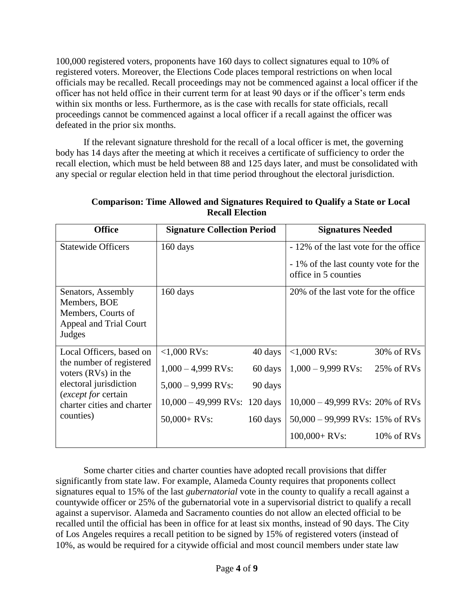100,000 registered voters, proponents have 160 days to collect signatures equal to 10% of registered voters. Moreover, the Elections Code places temporal restrictions on when local officials may be recalled. Recall proceedings may not be commenced against a local officer if the officer has not held office in their current term for at least 90 days or if the officer's term ends within six months or less. Furthermore, as is the case with recalls for state officials, recall proceedings cannot be commenced against a local officer if a recall against the officer was defeated in the prior six months.

If the relevant signature threshold for the recall of a local officer is met, the governing body has 14 days after the meeting at which it receives a certificate of sufficiency to order the recall election, which must be held between 88 and 125 days later, and must be consolidated with any special or regular election held in that time period throughout the electoral jurisdiction.

| <b>Office</b>                                             | <b>Signature Collection Period</b> |          | <b>Signatures Needed</b>                                     |               |
|-----------------------------------------------------------|------------------------------------|----------|--------------------------------------------------------------|---------------|
| <b>Statewide Officers</b>                                 | $160 \text{ days}$                 |          | - 12% of the last vote for the office                        |               |
|                                                           |                                    |          | - 1% of the last county vote for the<br>office in 5 counties |               |
| Senators, Assembly                                        | 160 days                           |          | 20% of the last vote for the office                          |               |
| Members, BOE                                              |                                    |          |                                                              |               |
| Members, Courts of                                        |                                    |          |                                                              |               |
| Appeal and Trial Court                                    |                                    |          |                                                              |               |
| Judges                                                    |                                    |          |                                                              |               |
| Local Officers, based on                                  | $<1,000$ RVs:                      | 40 days  | $<1,000$ RVs:                                                | 30% of RVs    |
| the number of registered<br>voters $(RVs)$ in the         | $1,000 - 4,999$ RVs:               | 60 days  | $1,000 - 9,999$ RVs:                                         | 25% of RVs    |
| electoral jurisdiction                                    | $5,000 - 9,999$ RVs:               | 90 days  |                                                              |               |
| ( <i>except for</i> certain<br>charter cities and charter | $10,000 - 49,999$ RVs: 120 days    |          | $10,000 - 49,999$ RVs: 20% of RVs                            |               |
| counties)                                                 | $50,000 + RVs$ :                   | 160 days | $50,000 - 99,999$ RVs: 15% of RVs                            |               |
|                                                           |                                    |          | $100,000 + RVs$ :                                            | $10\%$ of RVs |

**Comparison: Time Allowed and Signatures Required to Qualify a State or Local Recall Election**

Some charter cities and charter counties have adopted recall provisions that differ significantly from state law. For example, Alameda County requires that proponents collect signatures equal to 15% of the last *gubernatorial* vote in the county to qualify a recall against a countywide officer or 25% of the gubernatorial vote in a supervisorial district to qualify a recall against a supervisor. Alameda and Sacramento counties do not allow an elected official to be recalled until the official has been in office for at least six months, instead of 90 days. The City of Los Angeles requires a recall petition to be signed by 15% of registered voters (instead of 10%, as would be required for a citywide official and most council members under state law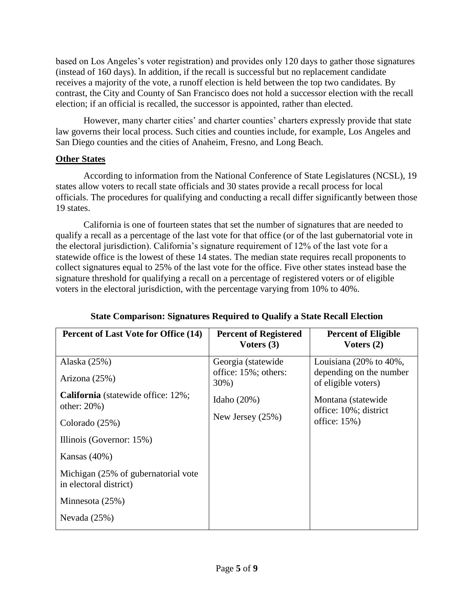based on Los Angeles's voter registration) and provides only 120 days to gather those signatures (instead of 160 days). In addition, if the recall is successful but no replacement candidate receives a majority of the vote, a runoff election is held between the top two candidates. By contrast, the City and County of San Francisco does not hold a successor election with the recall election; if an official is recalled, the successor is appointed, rather than elected.

However, many charter cities' and charter counties' charters expressly provide that state law governs their local process. Such cities and counties include, for example, Los Angeles and San Diego counties and the cities of Anaheim, Fresno, and Long Beach.

### **Other States**

According to information from the National Conference of State Legislatures (NCSL), 19 states allow voters to recall state officials and 30 states provide a recall process for local officials. The procedures for qualifying and conducting a recall differ significantly between those 19 states.

California is one of fourteen states that set the number of signatures that are needed to qualify a recall as a percentage of the last vote for that office (or of the last gubernatorial vote in the electoral jurisdiction). California's signature requirement of 12% of the last vote for a statewide office is the lowest of these 14 states. The median state requires recall proponents to collect signatures equal to 25% of the last vote for the office. Five other states instead base the signature threshold for qualifying a recall on a percentage of registered voters or of eligible voters in the electoral jurisdiction, with the percentage varying from 10% to 40%.

| <b>Percent of Last Vote for Office (14)</b>                   | <b>Percent of Registered</b><br>Voters $(3)$ | <b>Percent of Eligible</b><br>Voters $(2)$     |
|---------------------------------------------------------------|----------------------------------------------|------------------------------------------------|
| Alaska (25%)                                                  | Georgia (statewide                           | Louisiana $(20\% \text{ to } 40\%$ ,           |
| Arizona (25%)                                                 | office: 15%; others:<br>30%)                 | depending on the number<br>of eligible voters) |
| <b>California</b> (statewide office: 12%;<br>other: $20\%$ )  | Idaho $(20\%)$                               | Montana (statewide                             |
| Colorado (25%)                                                | New Jersey $(25\%)$                          | office: 10%; district<br>office: $15\%$ )      |
| Illinois (Governor: 15%)                                      |                                              |                                                |
| Kansas $(40\%)$                                               |                                              |                                                |
| Michigan (25% of gubernatorial vote<br>in electoral district) |                                              |                                                |
| Minnesota (25%)                                               |                                              |                                                |
| Nevada $(25%)$                                                |                                              |                                                |

### **State Comparison: Signatures Required to Qualify a State Recall Election**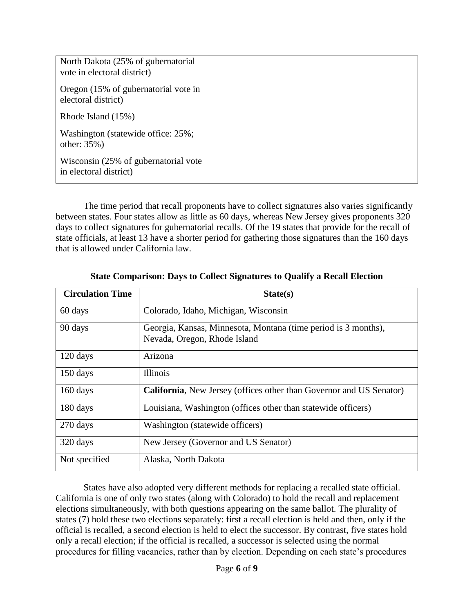| North Dakota (25% of gubernatorial<br>vote in electoral district) |  |
|-------------------------------------------------------------------|--|
| Oregon (15% of gubernatorial vote in<br>electoral district)       |  |
| Rhode Island (15%)                                                |  |
| Washington (statewide office: 25%;<br>other: $35\%$ )             |  |
| Wisconsin (25% of gubernatorial vote<br>in electoral district)    |  |

The time period that recall proponents have to collect signatures also varies significantly between states. Four states allow as little as 60 days, whereas New Jersey gives proponents 320 days to collect signatures for gubernatorial recalls. Of the 19 states that provide for the recall of state officials, at least 13 have a shorter period for gathering those signatures than the 160 days that is allowed under California law.

| <b>Circulation Time</b> | State(s)                                                                                       |
|-------------------------|------------------------------------------------------------------------------------------------|
| 60 days                 | Colorado, Idaho, Michigan, Wisconsin                                                           |
| 90 days                 | Georgia, Kansas, Minnesota, Montana (time period is 3 months),<br>Nevada, Oregon, Rhode Island |
| 120 days                | Arizona                                                                                        |
| $150 \text{ days}$      | <b>Illinois</b>                                                                                |
| $160 \text{ days}$      | <b>California,</b> New Jersey (offices other than Governor and US Senator)                     |
| 180 days                | Louisiana, Washington (offices other than statewide officers)                                  |
| 270 days                | Washington (statewide officers)                                                                |
| 320 days                | New Jersey (Governor and US Senator)                                                           |
| Not specified           | Alaska, North Dakota                                                                           |

#### **State Comparison: Days to Collect Signatures to Qualify a Recall Election**

States have also adopted very different methods for replacing a recalled state official. California is one of only two states (along with Colorado) to hold the recall and replacement elections simultaneously, with both questions appearing on the same ballot. The plurality of states (7) hold these two elections separately: first a recall election is held and then, only if the official is recalled, a second election is held to elect the successor. By contrast, five states hold only a recall election; if the official is recalled, a successor is selected using the normal procedures for filling vacancies, rather than by election. Depending on each state's procedures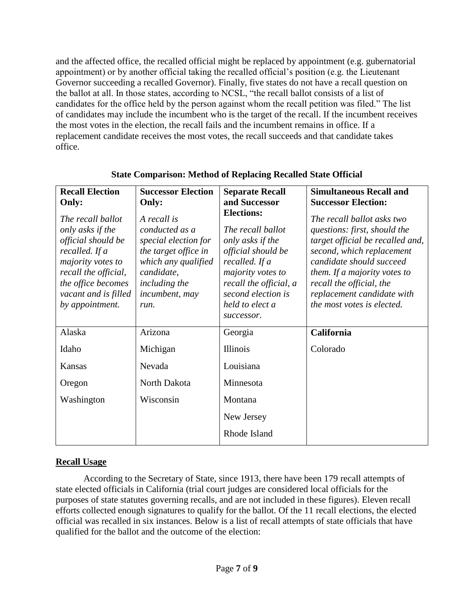and the affected office, the recalled official might be replaced by appointment (e.g. gubernatorial appointment) or by another official taking the recalled official's position (e.g. the Lieutenant Governor succeeding a recalled Governor). Finally, five states do not have a recall question on the ballot at all. In those states, according to NCSL, "the recall ballot consists of a list of candidates for the office held by the person against whom the recall petition was filed." The list of candidates may include the incumbent who is the target of the recall. If the incumbent receives the most votes in the election, the recall fails and the incumbent remains in office. If a replacement candidate receives the most votes, the recall succeeds and that candidate takes office.

| <b>Recall Election</b><br>Only:                                                                                                                                                             | <b>Successor Election</b><br>Only:                                                                                                                            | <b>Separate Recall</b><br>and Successor<br><b>Elections:</b>                                                                                                                        | <b>Simultaneous Recall and</b><br><b>Successor Election:</b>                                                                                                                                                                                                                    |
|---------------------------------------------------------------------------------------------------------------------------------------------------------------------------------------------|---------------------------------------------------------------------------------------------------------------------------------------------------------------|-------------------------------------------------------------------------------------------------------------------------------------------------------------------------------------|---------------------------------------------------------------------------------------------------------------------------------------------------------------------------------------------------------------------------------------------------------------------------------|
| The recall ballot<br>only asks if the<br>official should be<br>recalled. If a<br>majority votes to<br>recall the official,<br>the office becomes<br>vacant and is filled<br>by appointment. | A recall is<br>conducted as a<br>special election for<br>the target office in<br>which any qualified<br>candidate,<br>including the<br>incumbent, may<br>run. | The recall ballot<br>only asks if the<br>official should be<br>recalled. If a<br>majority votes to<br>recall the official, a<br>second election is<br>held to elect a<br>successor. | The recall ballot asks two<br>questions: first, should the<br>target official be recalled and,<br>second, which replacement<br>candidate should succeed<br>them. If a majority votes to<br>recall the official, the<br>replacement candidate with<br>the most votes is elected. |
| Alaska                                                                                                                                                                                      | Arizona                                                                                                                                                       | Georgia                                                                                                                                                                             | California                                                                                                                                                                                                                                                                      |
| Idaho                                                                                                                                                                                       | Michigan                                                                                                                                                      | <b>Illinois</b>                                                                                                                                                                     | Colorado                                                                                                                                                                                                                                                                        |
| Kansas                                                                                                                                                                                      | Nevada                                                                                                                                                        | Louisiana                                                                                                                                                                           |                                                                                                                                                                                                                                                                                 |
| Oregon                                                                                                                                                                                      | North Dakota                                                                                                                                                  | Minnesota                                                                                                                                                                           |                                                                                                                                                                                                                                                                                 |
| Washington                                                                                                                                                                                  | Wisconsin                                                                                                                                                     | Montana                                                                                                                                                                             |                                                                                                                                                                                                                                                                                 |
|                                                                                                                                                                                             |                                                                                                                                                               | New Jersey                                                                                                                                                                          |                                                                                                                                                                                                                                                                                 |
|                                                                                                                                                                                             |                                                                                                                                                               | Rhode Island                                                                                                                                                                        |                                                                                                                                                                                                                                                                                 |

## **State Comparison: Method of Replacing Recalled State Official**

# **Recall Usage**

According to the Secretary of State, since 1913, there have been 179 recall attempts of state elected officials in California (trial court judges are considered local officials for the purposes of state statutes governing recalls, and are not included in these figures). Eleven recall efforts collected enough signatures to qualify for the ballot. Of the 11 recall elections, the elected official was recalled in six instances. Below is a list of recall attempts of state officials that have qualified for the ballot and the outcome of the election: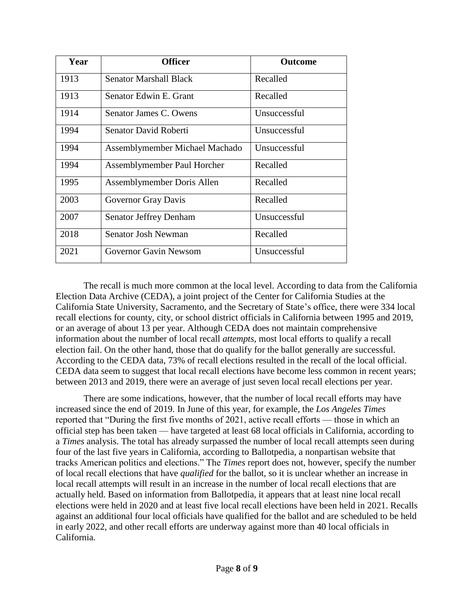| Year | <b>Officer</b>                 | <b>Outcome</b> |
|------|--------------------------------|----------------|
| 1913 | Senator Marshall Black         | Recalled       |
| 1913 | Senator Edwin E. Grant         | Recalled       |
| 1914 | Senator James C. Owens         | Unsuccessful   |
| 1994 | Senator David Roberti          | Unsuccessful   |
| 1994 | Assemblymember Michael Machado | Unsuccessful   |
| 1994 | Assemblymember Paul Horcher    | Recalled       |
| 1995 | Assemblymember Doris Allen     | Recalled       |
| 2003 | Governor Gray Davis            | Recalled       |
| 2007 | Senator Jeffrey Denham         | Unsuccessful   |
| 2018 | Senator Josh Newman            | Recalled       |
| 2021 | <b>Governor Gavin Newsom</b>   | Unsuccessful   |

The recall is much more common at the local level. According to data from the California Election Data Archive (CEDA), a joint project of the Center for California Studies at the California State University, Sacramento, and the Secretary of State's office, there were 334 local recall elections for county, city, or school district officials in California between 1995 and 2019, or an average of about 13 per year. Although CEDA does not maintain comprehensive information about the number of local recall *attempts*, most local efforts to qualify a recall election fail. On the other hand, those that do qualify for the ballot generally are successful. According to the CEDA data, 73% of recall elections resulted in the recall of the local official. CEDA data seem to suggest that local recall elections have become less common in recent years; between 2013 and 2019, there were an average of just seven local recall elections per year.

There are some indications, however, that the number of local recall efforts may have increased since the end of 2019. In June of this year, for example, the *Los Angeles Times* reported that "During the first five months of 2021, active recall efforts — those in which an official step has been taken — have targeted at least 68 local officials in California, according to a *Times* analysis. The total has already surpassed the number of local recall attempts seen during four of the last five years in California, according to Ballotpedia, a nonpartisan website that tracks American politics and elections." The *Times* report does not, however, specify the number of local recall elections that have *qualified* for the ballot, so it is unclear whether an increase in local recall attempts will result in an increase in the number of local recall elections that are actually held. Based on information from Ballotpedia, it appears that at least nine local recall elections were held in 2020 and at least five local recall elections have been held in 2021. Recalls against an additional four local officials have qualified for the ballot and are scheduled to be held in early 2022, and other recall efforts are underway against more than 40 local officials in California.